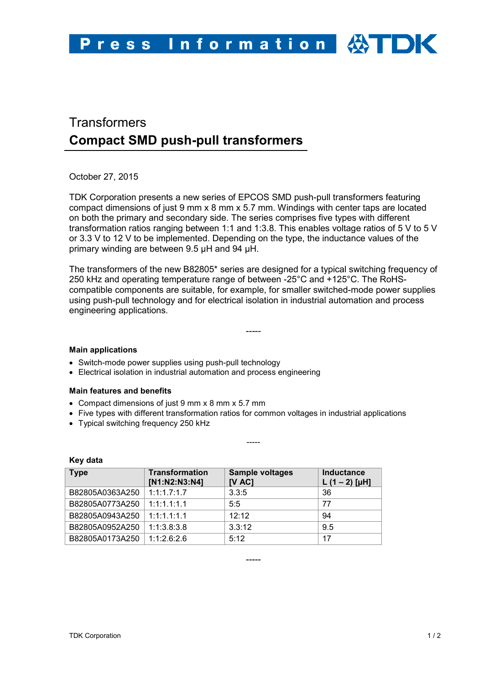# **Transformers Compact SMD push-pull transformers**

October 27, 2015

TDK Corporation presents a new series of EPCOS SMD push-pull transformers featuring compact dimensions of just 9 mm x 8 mm x 5.7 mm. Windings with center taps are located on both the primary and secondary side. The series comprises five types with different transformation ratios ranging between 1:1 and 1:3.8. This enables voltage ratios of 5 V to 5 V or 3.3 V to 12 V to be implemented. Depending on the type, the inductance values of the primary winding are between 9.5 µH and 94 µH.

The transformers of the new B82805\* series are designed for a typical switching frequency of 250 kHz and operating temperature range of between -25°C and +125°C. The RoHScompatible components are suitable, for example, for smaller switched-mode power supplies using push-pull technology and for electrical isolation in industrial automation and process engineering applications.

-----

# **Main applications**

- Switch-mode power supplies using push-pull technology
- Electrical isolation in industrial automation and process engineering

## **Main features and benefits**

- Compact dimensions of just 9 mm x 8 mm x 5.7 mm
- Five types with different transformation ratios for common voltages in industrial applications

-----

-----

• Typical switching frequency 250 kHz

| <b>Type</b>     | <b>Transformation</b><br>[N1:N2:N3:N4] | Sample voltages<br>[V AC] | <b>Inductance</b><br>L $(1 – 2)$ [µH] |
|-----------------|----------------------------------------|---------------------------|---------------------------------------|
| B82805A0363A250 | 1:1:1.7:1.7                            | 3.3:5                     | 36                                    |
| B82805A0773A250 | 1:1:1.1:1.1                            | 5:5                       | 77                                    |
| B82805A0943A250 | 1:1:1.1:1.1                            | 12:12                     | 94                                    |
| B82805A0952A250 | 1:1:3.8:3.8                            | 3.3:12                    | 9.5                                   |
| B82805A0173A250 | 1:1:2.6:2.6                            | 5:12                      | 17                                    |
|                 |                                        |                           |                                       |

#### **Key data**